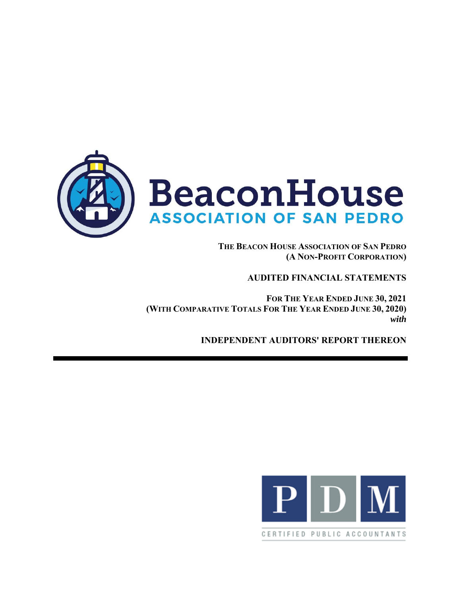

**AUDITED FINANCIAL STATEMENTS** 

**FOR THE YEAR ENDED JUNE 30, 2021 (WITH COMPARATIVE TOTALS FOR THE YEAR ENDED JUNE 30, 2020)**  *with* 

**INDEPENDENT AUDITORS' REPORT THEREON**

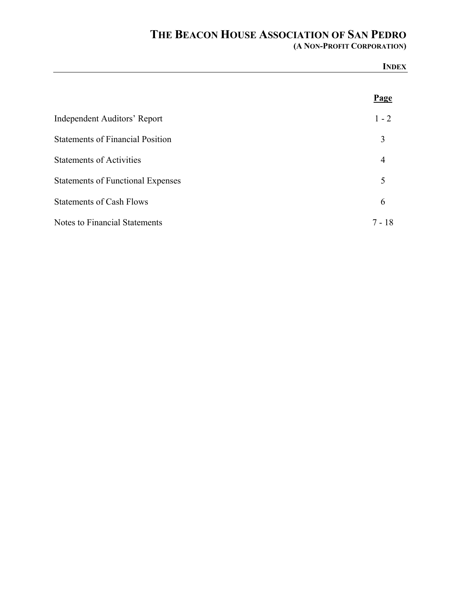**(A NON-PROFIT CORPORATION)** 

|                                          | <b>INDEX</b>   |
|------------------------------------------|----------------|
|                                          | Page           |
| Independent Auditors' Report             | $1 - 2$        |
| <b>Statements of Financial Position</b>  | 3              |
| <b>Statements of Activities</b>          | $\overline{4}$ |
| <b>Statements of Functional Expenses</b> | 5              |
| <b>Statements of Cash Flows</b>          | 6              |
| <b>Notes to Financial Statements</b>     | $7 - 18$       |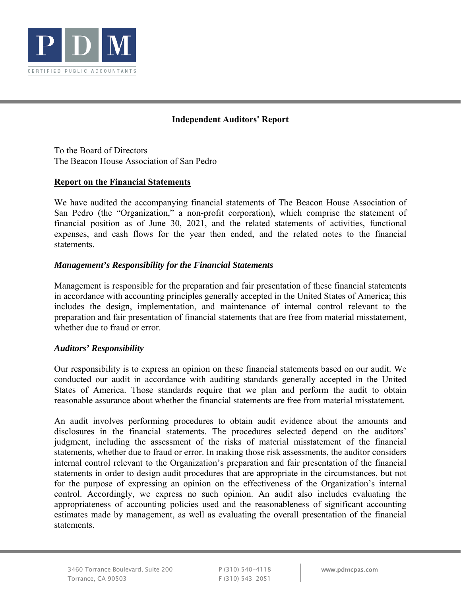

## **Independent Auditors' Report**

To the Board of Directors The Beacon House Association of San Pedro

#### **Report on the Financial Statements**

We have audited the accompanying financial statements of The Beacon House Association of San Pedro (the "Organization," a non-profit corporation), which comprise the statement of financial position as of June 30, 2021, and the related statements of activities, functional expenses, and cash flows for the year then ended, and the related notes to the financial statements.

#### *Management's Responsibility for the Financial Statements*

Management is responsible for the preparation and fair presentation of these financial statements in accordance with accounting principles generally accepted in the United States of America; this includes the design, implementation, and maintenance of internal control relevant to the preparation and fair presentation of financial statements that are free from material misstatement, whether due to fraud or error.

#### *Auditors' Responsibility*

Our responsibility is to express an opinion on these financial statements based on our audit. We conducted our audit in accordance with auditing standards generally accepted in the United States of America. Those standards require that we plan and perform the audit to obtain reasonable assurance about whether the financial statements are free from material misstatement.

An audit involves performing procedures to obtain audit evidence about the amounts and disclosures in the financial statements. The procedures selected depend on the auditors' judgment, including the assessment of the risks of material misstatement of the financial statements, whether due to fraud or error. In making those risk assessments, the auditor considers internal control relevant to the Organization's preparation and fair presentation of the financial statements in order to design audit procedures that are appropriate in the circumstances, but not for the purpose of expressing an opinion on the effectiveness of the Organization's internal control. Accordingly, we express no such opinion. An audit also includes evaluating the appropriateness of accounting policies used and the reasonableness of significant accounting estimates made by management, as well as evaluating the overall presentation of the financial statements.

3460 Torrance Boulevard, Suite 200 Torrance, CA 90503

P (310) 540-4118 F (310) 543-2051

www.pdmcpas.com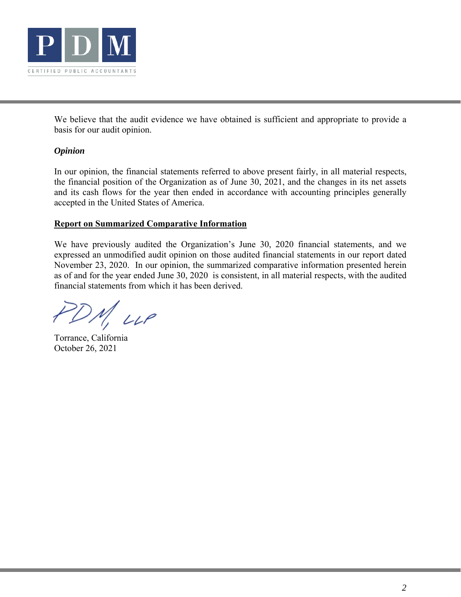

We believe that the audit evidence we have obtained is sufficient and appropriate to provide a basis for our audit opinion.

## *Opinion*

In our opinion, the financial statements referred to above present fairly, in all material respects, the financial position of the Organization as of June 30, 2021, and the changes in its net assets and its cash flows for the year then ended in accordance with accounting principles generally accepted in the United States of America.

## **Report on Summarized Comparative Information**

We have previously audited the Organization's June 30, 2020 financial statements, and we expressed an unmodified audit opinion on those audited financial statements in our report dated November 23, 2020. In our opinion, the summarized comparative information presented herein as of and for the year ended June 30, 2020 is consistent, in all material respects, with the audited financial statements from which it has been derived.

M, LLP

Torrance, California October 26, 2021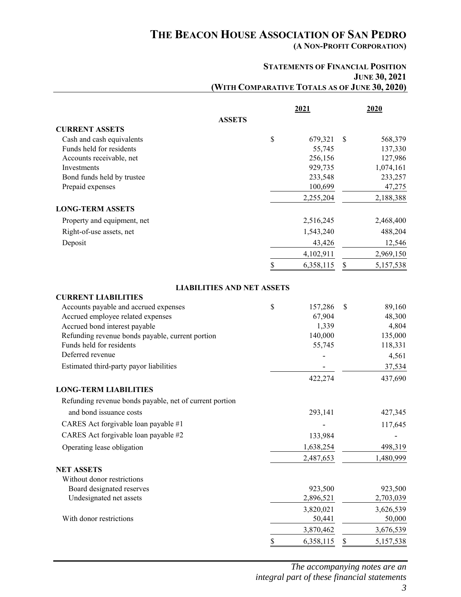**(A NON-PROFIT CORPORATION)** 

## **STATEMENTS OF FINANCIAL POSITION JUNE 30, 2021 (WITH COMPARATIVE TOTALS AS OF JUNE 30, 2020)**

|                                                         | 2021            |      | 2020      |
|---------------------------------------------------------|-----------------|------|-----------|
| <b>ASSETS</b>                                           |                 |      |           |
| <b>CURRENT ASSETS</b>                                   |                 |      |           |
| Cash and cash equivalents                               | \$<br>679,321   | \$   | 568,379   |
| Funds held for residents                                | 55,745          |      | 137,330   |
| Accounts receivable, net                                | 256,156         |      | 127,986   |
| Investments                                             | 929,735         |      | 1,074,161 |
| Bond funds held by trustee                              | 233,548         |      | 233,257   |
| Prepaid expenses                                        | 100,699         |      | 47,275    |
|                                                         | 2,255,204       |      | 2,188,388 |
| <b>LONG-TERM ASSETS</b>                                 |                 |      |           |
| Property and equipment, net                             | 2,516,245       |      | 2,468,400 |
| Right-of-use assets, net                                | 1,543,240       |      | 488,204   |
| Deposit                                                 | 43,426          |      | 12,546    |
|                                                         | 4,102,911       |      | 2,969,150 |
|                                                         | \$<br>6,358,115 | $\$$ | 5,157,538 |
| <b>LIABILITIES AND NET ASSETS</b>                       |                 |      |           |
| <b>CURRENT LIABILITIES</b>                              |                 |      |           |
| Accounts payable and accrued expenses                   | \$<br>157,286   | \$   | 89,160    |
| Accrued employee related expenses                       | 67,904          |      | 48,300    |
| Accrued bond interest payable                           | 1,339           |      | 4,804     |
| Refunding revenue bonds payable, current portion        | 140,000         |      | 135,000   |
| Funds held for residents                                | 55,745          |      | 118,331   |
| Deferred revenue                                        |                 |      | 4,561     |
| Estimated third-party payor liabilities                 |                 |      | 37,534    |
|                                                         | 422,274         |      | 437,690   |
| <b>LONG-TERM LIABILITIES</b>                            |                 |      |           |
| Refunding revenue bonds payable, net of current portion |                 |      |           |
| and bond issuance costs                                 | 293,141         |      | 427,345   |
| CARES Act forgivable loan payable #1                    |                 |      | 117,645   |
| CARES Act forgivable loan payable #2                    | 133,984         |      |           |
| Operating lease obligation                              | 1,638,254       |      | 498,319   |
|                                                         | 2,487,653       |      | 1,480,999 |
| <b>NET ASSETS</b>                                       |                 |      |           |
| Without donor restrictions                              |                 |      |           |
| Board designated reserves                               | 923,500         |      | 923,500   |
| Undesignated net assets                                 | 2,896,521       |      | 2,703,039 |
|                                                         | 3,820,021       |      | 3,626,539 |
| With donor restrictions                                 | 50,441          |      | 50,000    |
|                                                         | 3,870,462       |      | 3,676,539 |
|                                                         | \$<br>6,358,115 | \$   | 5,157,538 |

*The accompanying notes are an integral part of these financial statements*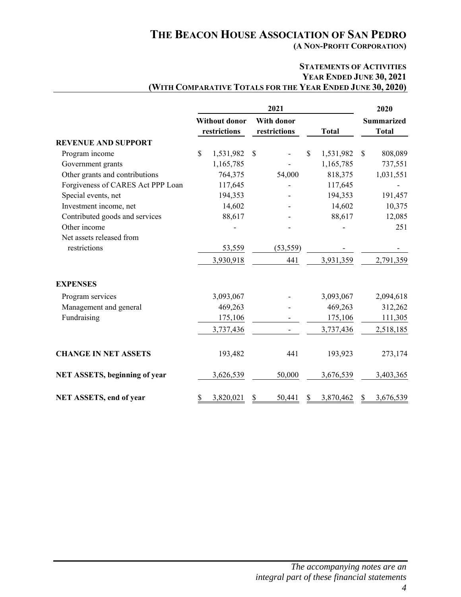**(A NON-PROFIT CORPORATION)**

#### **STATEMENTS OF ACTIVITIES YEAR ENDED JUNE 30, 2021 (WITH COMPARATIVE TOTALS FOR THE YEAR ENDED JUNE 30, 2020)**

|                                   | 2021 |                                      |    |                            |    | 2020         |    |                                   |  |
|-----------------------------------|------|--------------------------------------|----|----------------------------|----|--------------|----|-----------------------------------|--|
|                                   |      | <b>Without donor</b><br>restrictions |    | With donor<br>restrictions |    | <b>Total</b> |    | <b>Summarized</b><br><b>Total</b> |  |
| <b>REVENUE AND SUPPORT</b>        |      |                                      |    |                            |    |              |    |                                   |  |
| Program income                    | \$   | 1,531,982                            | \$ |                            | \$ | 1,531,982    | \$ | 808,089                           |  |
| Government grants                 |      | 1,165,785                            |    |                            |    | 1,165,785    |    | 737,551                           |  |
| Other grants and contributions    |      | 764,375                              |    | 54,000                     |    | 818,375      |    | 1,031,551                         |  |
| Forgiveness of CARES Act PPP Loan |      | 117,645                              |    |                            |    | 117,645      |    |                                   |  |
| Special events, net               |      | 194,353                              |    |                            |    | 194,353      |    | 191,457                           |  |
| Investment income, net            |      | 14,602                               |    |                            |    | 14,602       |    | 10,375                            |  |
| Contributed goods and services    |      | 88,617                               |    |                            |    | 88,617       |    | 12,085                            |  |
| Other income                      |      |                                      |    |                            |    |              |    | 251                               |  |
| Net assets released from          |      |                                      |    |                            |    |              |    |                                   |  |
| restrictions                      |      | 53,559                               |    | (53, 559)                  |    |              |    |                                   |  |
|                                   |      | 3,930,918                            |    | 441                        |    | 3,931,359    |    | 2,791,359                         |  |
| <b>EXPENSES</b>                   |      |                                      |    |                            |    |              |    |                                   |  |
| Program services                  |      | 3,093,067                            |    |                            |    | 3,093,067    |    | 2,094,618                         |  |
| Management and general            |      | 469,263                              |    |                            |    | 469,263      |    | 312,262                           |  |
| Fundraising                       |      | 175,106                              |    |                            |    | 175,106      |    | 111,305                           |  |
|                                   |      | 3,737,436                            |    |                            |    | 3,737,436    |    | 2,518,185                         |  |
| <b>CHANGE IN NET ASSETS</b>       |      | 193,482                              |    | 441                        |    | 193,923      |    | 273,174                           |  |
| NET ASSETS, beginning of year     |      | 3,626,539                            |    | 50,000                     |    | 3,676,539    |    | 3,403,365                         |  |
| <b>NET ASSETS, end of year</b>    | \$   | 3,820,021                            | \$ | 50,441                     | \$ | 3,870,462    | \$ | 3,676,539                         |  |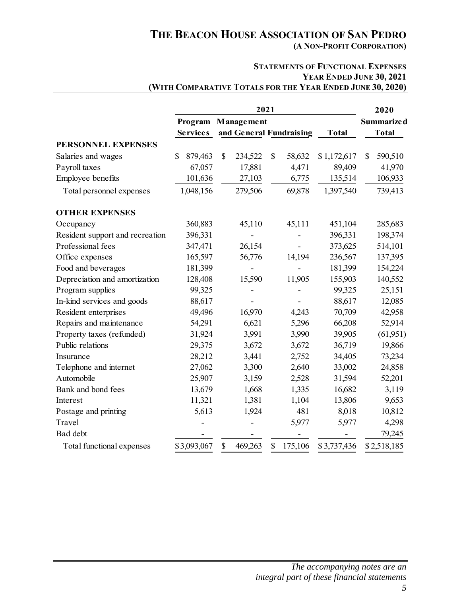**(A NON-PROFIT CORPORATION)** 

## **STATEMENTS OF FUNCTIONAL EXPENSES YEAR ENDED JUNE 30, 2021 (WITH COMPARATIVE TOTALS FOR THE YEAR ENDED JUNE 30, 2020)**

|                                 |                 |               | 2021                    |              | 2020              |
|---------------------------------|-----------------|---------------|-------------------------|--------------|-------------------|
|                                 | Program         | Management    |                         |              | <b>Summarized</b> |
|                                 | <b>Services</b> |               | and General Fundraising | <b>Total</b> | Total             |
| PERSONNEL EXPENSES              |                 |               |                         |              |                   |
| Salaries and wages              | \$<br>879,463   | \$<br>234,522 | \$<br>58,632            | \$1,172,617  | \$<br>590,510     |
| Payroll taxes                   | 67,057          | 17,881        | 4,471                   | 89,409       | 41,970            |
| Employee benefits               | 101,636         | 27,103        | 6,775                   | 135,514      | 106,933           |
| Total personnel expenses        | 1,048,156       | 279,506       | 69,878                  | 1,397,540    | 739,413           |
| <b>OTHER EXPENSES</b>           |                 |               |                         |              |                   |
| Occupancy                       | 360,883         | 45,110        | 45,111                  | 451,104      | 285,683           |
| Resident support and recreation | 396,331         |               |                         | 396,331      | 198,374           |
| Professional fees               | 347,471         | 26,154        |                         | 373,625      | 514,101           |
| Office expenses                 | 165,597         | 56,776        | 14,194                  | 236,567      | 137,395           |
| Food and beverages              | 181,399         |               |                         | 181,399      | 154,224           |
| Depreciation and amortization   | 128,408         | 15,590        | 11,905                  | 155,903      | 140,552           |
| Program supplies                | 99,325          |               |                         | 99,325       | 25,151            |
| In-kind services and goods      | 88,617          |               |                         | 88,617       | 12,085            |
| Resident enterprises            | 49,496          | 16,970        | 4,243                   | 70,709       | 42,958            |
| Repairs and maintenance         | 54,291          | 6,621         | 5,296                   | 66,208       | 52,914            |
| Property taxes (refunded)       | 31,924          | 3,991         | 3,990                   | 39,905       | (61,951)          |
| Public relations                | 29,375          | 3,672         | 3,672                   | 36,719       | 19,866            |
| Insurance                       | 28,212          | 3,441         | 2,752                   | 34,405       | 73,234            |
| Telephone and internet          | 27,062          | 3,300         | 2,640                   | 33,002       | 24,858            |
| Automobile                      | 25,907          | 3,159         | 2,528                   | 31,594       | 52,201            |
| Bank and bond fees              | 13,679          | 1,668         | 1,335                   | 16,682       | 3,119             |
| Interest                        | 11,321          | 1,381         | 1,104                   | 13,806       | 9,653             |
| Postage and printing            | 5,613           | 1,924         | 481                     | 8,018        | 10,812            |
| Travel                          |                 |               | 5,977                   | 5,977        | 4,298             |
| Bad debt                        |                 |               |                         |              | 79,245            |
| Total functional expenses       | \$3,093,067     | \$<br>469,263 | \$<br>175,106           | \$3,737,436  | \$2,518,185       |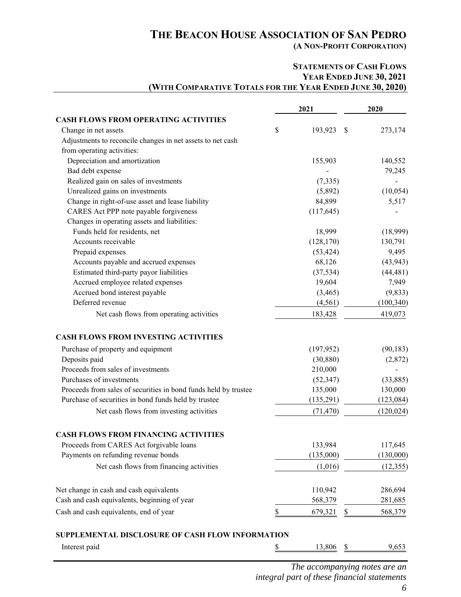## **STATEMENTS OF CASH FLOWS YEAR ENDED JUNE 30, 2021 (WITH COMPARATIVE TOTALS FOR THE YEAR ENDED JUNE 30, 2020)**

|                                                                 |    | 2021       | 2020          |            |  |
|-----------------------------------------------------------------|----|------------|---------------|------------|--|
| <b>CASH FLOWS FROM OPERATING ACTIVITIES</b>                     |    |            |               |            |  |
| Change in net assets                                            | \$ | 193,923    | <sup>\$</sup> | 273,174    |  |
| Adjustments to reconcile changes in net assets to net cash      |    |            |               |            |  |
| from operating activities:                                      |    |            |               |            |  |
| Depreciation and amortization                                   |    | 155,903    |               | 140,552    |  |
| Bad debt expense                                                |    |            |               | 79,245     |  |
| Realized gain on sales of investments                           |    | (7, 335)   |               |            |  |
| Unrealized gains on investments                                 |    | (5,892)    |               | (10, 054)  |  |
| Change in right-of-use asset and lease liability                |    | 84,899     |               | 5,517      |  |
| CARES Act PPP note payable forgiveness                          |    | (117, 645) |               |            |  |
| Changes in operating assets and liabilities:                    |    |            |               |            |  |
| Funds held for residents, net                                   |    | 18,999     |               | (18,999)   |  |
| Accounts receivable                                             |    | (128, 170) |               | 130,791    |  |
| Prepaid expenses                                                |    | (53, 424)  |               | 9,495      |  |
| Accounts payable and accrued expenses                           |    | 68,126     |               | (43, 943)  |  |
| Estimated third-party payor liabilities                         |    | (37, 534)  |               | (44, 481)  |  |
| Accrued employee related expenses                               |    | 19,604     |               | 7,949      |  |
| Accrued bond interest payable                                   |    | (3,465)    |               | (9, 833)   |  |
| Deferred revenue                                                |    | (4, 561)   |               | (100, 340) |  |
| Net cash flows from operating activities                        |    | 183,428    |               | 419,073    |  |
| <b>CASH FLOWS FROM INVESTING ACTIVITIES</b>                     |    |            |               |            |  |
| Purchase of property and equipment                              |    | (197, 952) |               | (90, 183)  |  |
| Deposits paid                                                   |    | (30, 880)  |               | (2,872)    |  |
| Proceeds from sales of investments                              |    | 210,000    |               |            |  |
| Purchases of investments                                        |    | (52, 347)  |               | (33, 885)  |  |
| Proceeds from sales of securities in bond funds held by trustee |    | 135,000    |               | 130,000    |  |
| Purchase of securities in bond funds held by trustee            |    | (135,291)  |               | (123, 084) |  |
| Net cash flows from investing activities                        |    | (71, 470)  |               | (120, 024) |  |
|                                                                 |    |            |               |            |  |
| <b>CASH FLOWS FROM FINANCING ACTIVITIES</b>                     |    |            |               |            |  |
| Proceeds from CARES Act forgivable loans                        |    | 133,984    |               | 117,645    |  |
| Payments on refunding revenue bonds                             |    | (135,000)  |               | (130,000)  |  |
| Net cash flows from financing activities                        |    | (1,016)    |               | (12,355)   |  |
| Net change in cash and cash equivalents                         |    | 110,942    |               | 286,694    |  |
| Cash and cash equivalents, beginning of year                    |    | 568,379    |               | 281,685    |  |
| Cash and cash equivalents, end of year                          | \$ | 679,321    | S             | 568,379    |  |
| SUPPLEMENTAL DISCLOSURE OF CASH FLOW INFORMATION                |    |            |               |            |  |

| Interest paid | 13,806 | $\triangle$ | UJJ. |
|---------------|--------|-------------|------|
|               |        |             |      |

*The accompanying notes are an integral part of these financial statements*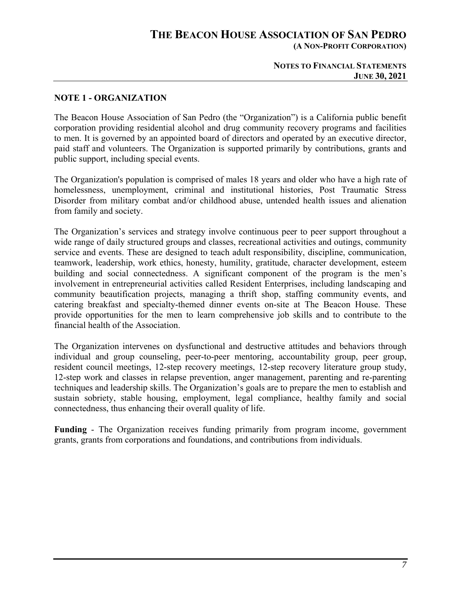#### **NOTES TO FINANCIAL STATEMENTS JUNE 30, 2021**

#### **NOTE 1 - ORGANIZATION**

The Beacon House Association of San Pedro (the "Organization") is a California public benefit corporation providing residential alcohol and drug community recovery programs and facilities to men. It is governed by an appointed board of directors and operated by an executive director, paid staff and volunteers. The Organization is supported primarily by contributions, grants and public support, including special events.

The Organization's population is comprised of males 18 years and older who have a high rate of homelessness, unemployment, criminal and institutional histories, Post Traumatic Stress Disorder from military combat and/or childhood abuse, untended health issues and alienation from family and society.

The Organization's services and strategy involve continuous peer to peer support throughout a wide range of daily structured groups and classes, recreational activities and outings, community service and events. These are designed to teach adult responsibility, discipline, communication, teamwork, leadership, work ethics, honesty, humility, gratitude, character development, esteem building and social connectedness. A significant component of the program is the men's involvement in entrepreneurial activities called Resident Enterprises, including landscaping and community beautification projects, managing a thrift shop, staffing community events, and catering breakfast and specialty-themed dinner events on-site at The Beacon House. These provide opportunities for the men to learn comprehensive job skills and to contribute to the financial health of the Association.

The Organization intervenes on dysfunctional and destructive attitudes and behaviors through individual and group counseling, peer-to-peer mentoring, accountability group, peer group, resident council meetings, 12-step recovery meetings, 12-step recovery literature group study, 12-step work and classes in relapse prevention, anger management, parenting and re-parenting techniques and leadership skills. The Organization's goals are to prepare the men to establish and sustain sobriety, stable housing, employment, legal compliance, healthy family and social connectedness, thus enhancing their overall quality of life.

**Funding** - The Organization receives funding primarily from program income, government grants, grants from corporations and foundations, and contributions from individuals.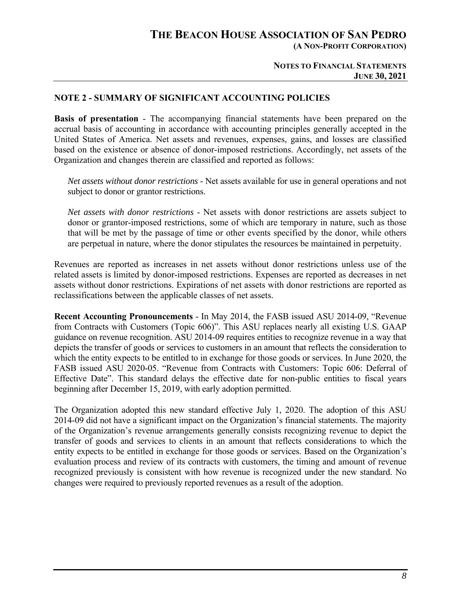#### **NOTES TO FINANCIAL STATEMENTS JUNE 30, 2021**

#### **NOTE 2 - SUMMARY OF SIGNIFICANT ACCOUNTING POLICIES**

**Basis of presentation** - The accompanying financial statements have been prepared on the accrual basis of accounting in accordance with accounting principles generally accepted in the United States of America. Net assets and revenues, expenses, gains, and losses are classified based on the existence or absence of donor-imposed restrictions. Accordingly, net assets of the Organization and changes therein are classified and reported as follows:

*Net assets without donor restrictions* - Net assets available for use in general operations and not subject to donor or grantor restrictions.

*Net assets with donor restrictions* - Net assets with donor restrictions are assets subject to donor or grantor-imposed restrictions, some of which are temporary in nature, such as those that will be met by the passage of time or other events specified by the donor, while others are perpetual in nature, where the donor stipulates the resources be maintained in perpetuity.

Revenues are reported as increases in net assets without donor restrictions unless use of the related assets is limited by donor-imposed restrictions. Expenses are reported as decreases in net assets without donor restrictions. Expirations of net assets with donor restrictions are reported as reclassifications between the applicable classes of net assets.

**Recent Accounting Pronouncements** - In May 2014, the FASB issued ASU 2014-09, "Revenue from Contracts with Customers (Topic 606)". This ASU replaces nearly all existing U.S. GAAP guidance on revenue recognition. ASU 2014-09 requires entities to recognize revenue in a way that depicts the transfer of goods or services to customers in an amount that reflects the consideration to which the entity expects to be entitled to in exchange for those goods or services. In June 2020, the FASB issued ASU 2020-05. "Revenue from Contracts with Customers: Topic 606: Deferral of Effective Date". This standard delays the effective date for non-public entities to fiscal years beginning after December 15, 2019, with early adoption permitted.

The Organization adopted this new standard effective July 1, 2020. The adoption of this ASU 2014-09 did not have a significant impact on the Organization's financial statements. The majority of the Organization's revenue arrangements generally consists recognizing revenue to depict the transfer of goods and services to clients in an amount that reflects considerations to which the entity expects to be entitled in exchange for those goods or services. Based on the Organization's evaluation process and review of its contracts with customers, the timing and amount of revenue recognized previously is consistent with how revenue is recognized under the new standard. No changes were required to previously reported revenues as a result of the adoption.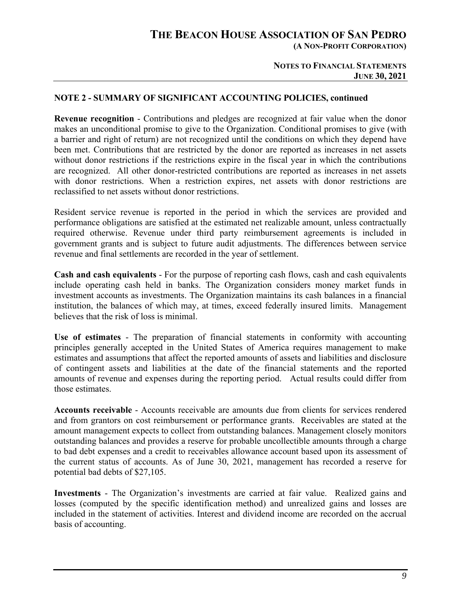#### **NOTES TO FINANCIAL STATEMENTS JUNE 30, 2021**

#### **NOTE 2 - SUMMARY OF SIGNIFICANT ACCOUNTING POLICIES, continued**

**Revenue recognition** - Contributions and pledges are recognized at fair value when the donor makes an unconditional promise to give to the Organization. Conditional promises to give (with a barrier and right of return) are not recognized until the conditions on which they depend have been met. Contributions that are restricted by the donor are reported as increases in net assets without donor restrictions if the restrictions expire in the fiscal year in which the contributions are recognized. All other donor-restricted contributions are reported as increases in net assets with donor restrictions. When a restriction expires, net assets with donor restrictions are reclassified to net assets without donor restrictions.

Resident service revenue is reported in the period in which the services are provided and performance obligations are satisfied at the estimated net realizable amount, unless contractually required otherwise. Revenue under third party reimbursement agreements is included in government grants and is subject to future audit adjustments. The differences between service revenue and final settlements are recorded in the year of settlement.

**Cash and cash equivalents** - For the purpose of reporting cash flows, cash and cash equivalents include operating cash held in banks. The Organization considers money market funds in investment accounts as investments. The Organization maintains its cash balances in a financial institution, the balances of which may, at times, exceed federally insured limits. Management believes that the risk of loss is minimal.

**Use of estimates** - The preparation of financial statements in conformity with accounting principles generally accepted in the United States of America requires management to make estimates and assumptions that affect the reported amounts of assets and liabilities and disclosure of contingent assets and liabilities at the date of the financial statements and the reported amounts of revenue and expenses during the reporting period. Actual results could differ from those estimates.

**Accounts receivable** - Accounts receivable are amounts due from clients for services rendered and from grantors on cost reimbursement or performance grants. Receivables are stated at the amount management expects to collect from outstanding balances. Management closely monitors outstanding balances and provides a reserve for probable uncollectible amounts through a charge to bad debt expenses and a credit to receivables allowance account based upon its assessment of the current status of accounts. As of June 30, 2021, management has recorded a reserve for potential bad debts of \$27,105.

**Investments** - The Organization's investments are carried at fair value. Realized gains and losses (computed by the specific identification method) and unrealized gains and losses are included in the statement of activities. Interest and dividend income are recorded on the accrual basis of accounting.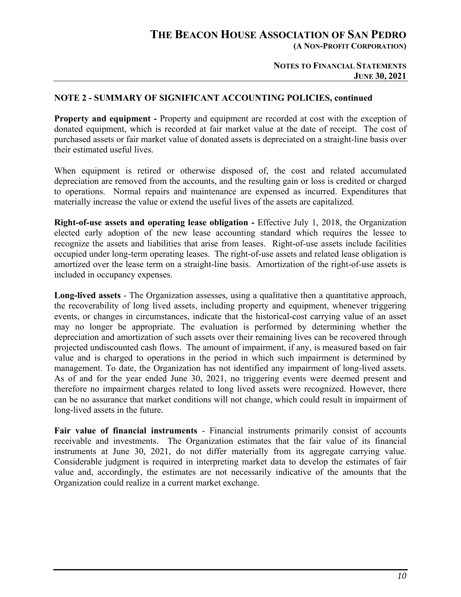#### **NOTES TO FINANCIAL STATEMENTS JUNE 30, 2021**

#### **NOTE 2 - SUMMARY OF SIGNIFICANT ACCOUNTING POLICIES, continued**

**Property and equipment - Property and equipment are recorded at cost with the exception of** donated equipment, which is recorded at fair market value at the date of receipt. The cost of purchased assets or fair market value of donated assets is depreciated on a straight-line basis over their estimated useful lives.

When equipment is retired or otherwise disposed of, the cost and related accumulated depreciation are removed from the accounts, and the resulting gain or loss is credited or charged to operations. Normal repairs and maintenance are expensed as incurred. Expenditures that materially increase the value or extend the useful lives of the assets are capitalized.

**Right-of-use assets and operating lease obligation -** Effective July 1, 2018, the Organization elected early adoption of the new lease accounting standard which requires the lessee to recognize the assets and liabilities that arise from leases. Right-of-use assets include facilities occupied under long-term operating leases. The right-of-use assets and related lease obligation is amortized over the lease term on a straight-line basis. Amortization of the right-of-use assets is included in occupancy expenses.

**Long-lived assets** - The Organization assesses, using a qualitative then a quantitative approach, the recoverability of long lived assets, including property and equipment, whenever triggering events, or changes in circumstances, indicate that the historical-cost carrying value of an asset may no longer be appropriate. The evaluation is performed by determining whether the depreciation and amortization of such assets over their remaining lives can be recovered through projected undiscounted cash flows. The amount of impairment, if any, is measured based on fair value and is charged to operations in the period in which such impairment is determined by management. To date, the Organization has not identified any impairment of long-lived assets. As of and for the year ended June 30, 2021, no triggering events were deemed present and therefore no impairment charges related to long lived assets were recognized. However, there can be no assurance that market conditions will not change, which could result in impairment of long-lived assets in the future.

**Fair value of financial instruments** - Financial instruments primarily consist of accounts receivable and investments. The Organization estimates that the fair value of its financial instruments at June 30, 2021, do not differ materially from its aggregate carrying value. Considerable judgment is required in interpreting market data to develop the estimates of fair value and, accordingly, the estimates are not necessarily indicative of the amounts that the Organization could realize in a current market exchange.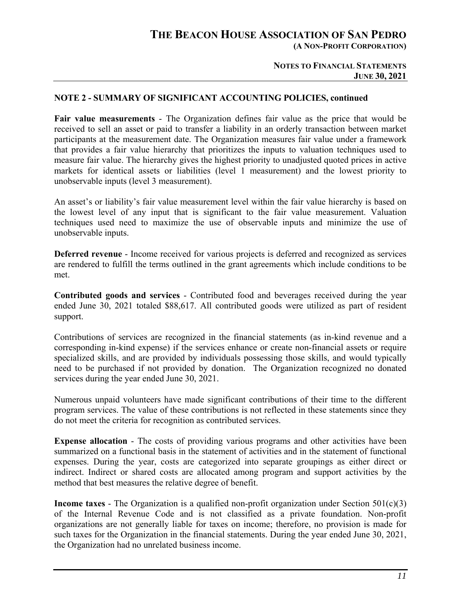#### **NOTES TO FINANCIAL STATEMENTS JUNE 30, 2021**

#### **NOTE 2 - SUMMARY OF SIGNIFICANT ACCOUNTING POLICIES, continued**

**Fair value measurements** - The Organization defines fair value as the price that would be received to sell an asset or paid to transfer a liability in an orderly transaction between market participants at the measurement date. The Organization measures fair value under a framework that provides a fair value hierarchy that prioritizes the inputs to valuation techniques used to measure fair value. The hierarchy gives the highest priority to unadjusted quoted prices in active markets for identical assets or liabilities (level 1 measurement) and the lowest priority to unobservable inputs (level 3 measurement).

An asset's or liability's fair value measurement level within the fair value hierarchy is based on the lowest level of any input that is significant to the fair value measurement. Valuation techniques used need to maximize the use of observable inputs and minimize the use of unobservable inputs.

**Deferred revenue** - Income received for various projects is deferred and recognized as services are rendered to fulfill the terms outlined in the grant agreements which include conditions to be met.

**Contributed goods and services** - Contributed food and beverages received during the year ended June 30, 2021 totaled \$88,617. All contributed goods were utilized as part of resident support.

Contributions of services are recognized in the financial statements (as in-kind revenue and a corresponding in-kind expense) if the services enhance or create non-financial assets or require specialized skills, and are provided by individuals possessing those skills, and would typically need to be purchased if not provided by donation. The Organization recognized no donated services during the year ended June 30, 2021.

Numerous unpaid volunteers have made significant contributions of their time to the different program services. The value of these contributions is not reflected in these statements since they do not meet the criteria for recognition as contributed services.

**Expense allocation** - The costs of providing various programs and other activities have been summarized on a functional basis in the statement of activities and in the statement of functional expenses. During the year, costs are categorized into separate groupings as either direct or indirect. Indirect or shared costs are allocated among program and support activities by the method that best measures the relative degree of benefit.

**Income taxes** - The Organization is a qualified non-profit organization under Section 501(c)(3) of the Internal Revenue Code and is not classified as a private foundation. Non-profit organizations are not generally liable for taxes on income; therefore, no provision is made for such taxes for the Organization in the financial statements. During the year ended June 30, 2021, the Organization had no unrelated business income.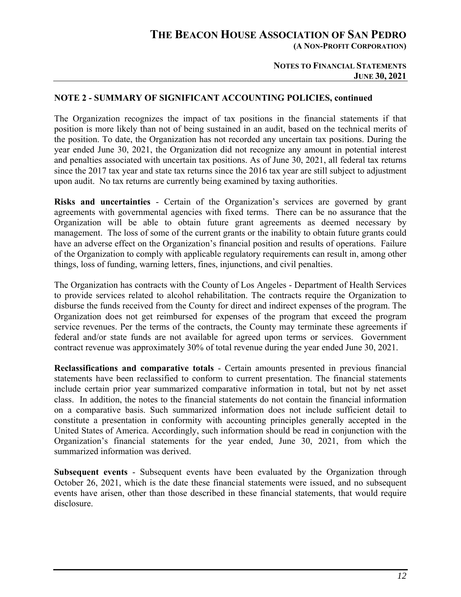#### **NOTES TO FINANCIAL STATEMENTS JUNE 30, 2021**

#### **NOTE 2 - SUMMARY OF SIGNIFICANT ACCOUNTING POLICIES, continued**

The Organization recognizes the impact of tax positions in the financial statements if that position is more likely than not of being sustained in an audit, based on the technical merits of the position. To date, the Organization has not recorded any uncertain tax positions. During the year ended June 30, 2021, the Organization did not recognize any amount in potential interest and penalties associated with uncertain tax positions. As of June 30, 2021, all federal tax returns since the 2017 tax year and state tax returns since the 2016 tax year are still subject to adjustment upon audit. No tax returns are currently being examined by taxing authorities.

**Risks and uncertainties** - Certain of the Organization's services are governed by grant agreements with governmental agencies with fixed terms. There can be no assurance that the Organization will be able to obtain future grant agreements as deemed necessary by management. The loss of some of the current grants or the inability to obtain future grants could have an adverse effect on the Organization's financial position and results of operations. Failure of the Organization to comply with applicable regulatory requirements can result in, among other things, loss of funding, warning letters, fines, injunctions, and civil penalties.

The Organization has contracts with the County of Los Angeles - Department of Health Services to provide services related to alcohol rehabilitation. The contracts require the Organization to disburse the funds received from the County for direct and indirect expenses of the program. The Organization does not get reimbursed for expenses of the program that exceed the program service revenues. Per the terms of the contracts, the County may terminate these agreements if federal and/or state funds are not available for agreed upon terms or services. Government contract revenue was approximately 30% of total revenue during the year ended June 30, 2021.

**Reclassifications and comparative totals** - Certain amounts presented in previous financial statements have been reclassified to conform to current presentation. The financial statements include certain prior year summarized comparative information in total, but not by net asset class. In addition, the notes to the financial statements do not contain the financial information on a comparative basis. Such summarized information does not include sufficient detail to constitute a presentation in conformity with accounting principles generally accepted in the United States of America. Accordingly, such information should be read in conjunction with the Organization's financial statements for the year ended, June 30, 2021, from which the summarized information was derived.

**Subsequent events** - Subsequent events have been evaluated by the Organization through October 26, 2021, which is the date these financial statements were issued, and no subsequent events have arisen, other than those described in these financial statements, that would require disclosure.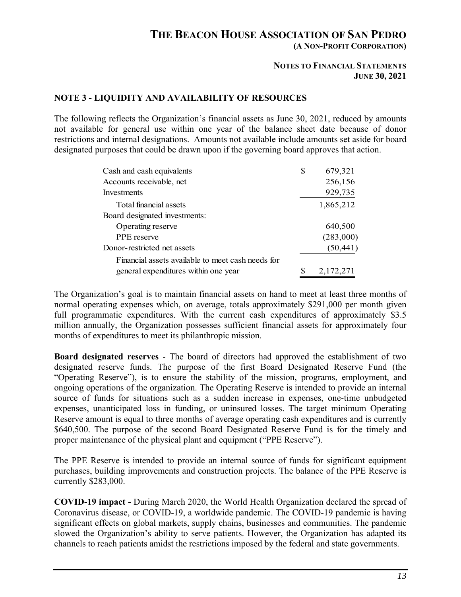#### **NOTES TO FINANCIAL STATEMENTS JUNE 30, 2021**

#### **NOTE 3 - LIQUIDITY AND AVAILABILITY OF RESOURCES**

The following reflects the Organization's financial assets as June 30, 2021, reduced by amounts not available for general use within one year of the balance sheet date because of donor restrictions and internal designations. Amounts not available include amounts set aside for board designated purposes that could be drawn upon if the governing board approves that action.

| Cash and cash equivalents                         | \$ | 679,321   |
|---------------------------------------------------|----|-----------|
| Accounts receivable, net                          |    | 256,156   |
| Investments                                       |    | 929,735   |
| Total financial assets                            |    | 1,865,212 |
| Board designated investments:                     |    |           |
| Operating reserve                                 |    | 640,500   |
| <b>PPE</b> reserve                                |    | (283,000) |
| Donor-restricted net assets                       |    | (50, 441) |
| Financial assets available to meet cash needs for |    |           |
| general expenditures within one year              | S  | 2,172,271 |

The Organization's goal is to maintain financial assets on hand to meet at least three months of normal operating expenses which, on average, totals approximately \$291,000 per month given full programmatic expenditures. With the current cash expenditures of approximately \$3.5 million annually, the Organization possesses sufficient financial assets for approximately four months of expenditures to meet its philanthropic mission.

**Board designated reserves** - The board of directors had approved the establishment of two designated reserve funds. The purpose of the first Board Designated Reserve Fund (the "Operating Reserve"), is to ensure the stability of the mission, programs, employment, and ongoing operations of the organization. The Operating Reserve is intended to provide an internal source of funds for situations such as a sudden increase in expenses, one-time unbudgeted expenses, unanticipated loss in funding, or uninsured losses. The target minimum Operating Reserve amount is equal to three months of average operating cash expenditures and is currently \$640,500. The purpose of the second Board Designated Reserve Fund is for the timely and proper maintenance of the physical plant and equipment ("PPE Reserve").

The PPE Reserve is intended to provide an internal source of funds for significant equipment purchases, building improvements and construction projects. The balance of the PPE Reserve is currently \$283,000.

**COVID-19 impact -** During March 2020, the World Health Organization declared the spread of Coronavirus disease, or COVID-19, a worldwide pandemic. The COVID-19 pandemic is having significant effects on global markets, supply chains, businesses and communities. The pandemic slowed the Organization's ability to serve patients. However, the Organization has adapted its channels to reach patients amidst the restrictions imposed by the federal and state governments.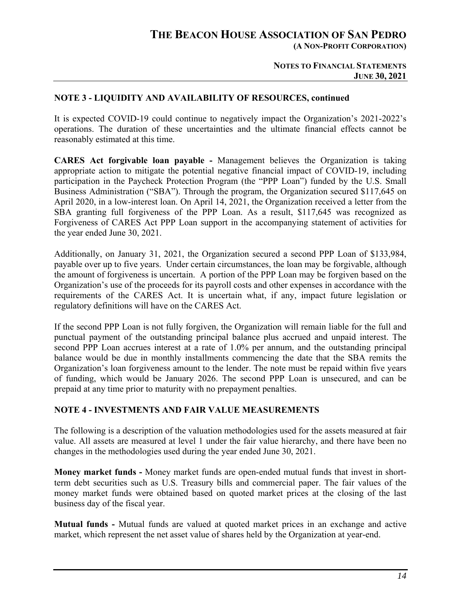#### **NOTES TO FINANCIAL STATEMENTS JUNE 30, 2021**

#### **NOTE 3 - LIQUIDITY AND AVAILABILITY OF RESOURCES, continued**

It is expected COVID-19 could continue to negatively impact the Organization's 2021-2022's operations. The duration of these uncertainties and the ultimate financial effects cannot be reasonably estimated at this time.

**CARES Act forgivable loan payable -** Management believes the Organization is taking appropriate action to mitigate the potential negative financial impact of COVID-19, including participation in the Paycheck Protection Program (the "PPP Loan") funded by the U.S. Small Business Administration ("SBA"). Through the program, the Organization secured \$117,645 on April 2020, in a low-interest loan. On April 14, 2021, the Organization received a letter from the SBA granting full forgiveness of the PPP Loan. As a result, \$117,645 was recognized as Forgiveness of CARES Act PPP Loan support in the accompanying statement of activities for the year ended June 30, 2021.

Additionally, on January 31, 2021, the Organization secured a second PPP Loan of \$133,984, payable over up to five years. Under certain circumstances, the loan may be forgivable, although the amount of forgiveness is uncertain. A portion of the PPP Loan may be forgiven based on the Organization's use of the proceeds for its payroll costs and other expenses in accordance with the requirements of the CARES Act. It is uncertain what, if any, impact future legislation or regulatory definitions will have on the CARES Act.

If the second PPP Loan is not fully forgiven, the Organization will remain liable for the full and punctual payment of the outstanding principal balance plus accrued and unpaid interest. The second PPP Loan accrues interest at a rate of 1.0% per annum, and the outstanding principal balance would be due in monthly installments commencing the date that the SBA remits the Organization's loan forgiveness amount to the lender. The note must be repaid within five years of funding, which would be January 2026. The second PPP Loan is unsecured, and can be prepaid at any time prior to maturity with no prepayment penalties.

#### **NOTE 4 - INVESTMENTS AND FAIR VALUE MEASUREMENTS**

The following is a description of the valuation methodologies used for the assets measured at fair value. All assets are measured at level 1 under the fair value hierarchy, and there have been no changes in the methodologies used during the year ended June 30, 2021.

**Money market funds -** Money market funds are open-ended mutual funds that invest in shortterm debt securities such as U.S. Treasury bills and commercial paper. The fair values of the money market funds were obtained based on quoted market prices at the closing of the last business day of the fiscal year.

**Mutual funds -** Mutual funds are valued at quoted market prices in an exchange and active market, which represent the net asset value of shares held by the Organization at year-end.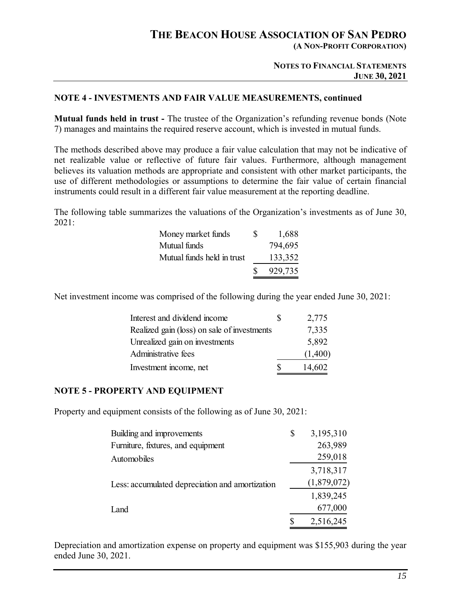#### **NOTES TO FINANCIAL STATEMENTS JUNE 30, 2021**

#### **NOTE 4 - INVESTMENTS AND FAIR VALUE MEASUREMENTS, continued**

**Mutual funds held in trust -** The trustee of the Organization's refunding revenue bonds (Note 7) manages and maintains the required reserve account, which is invested in mutual funds.

The methods described above may produce a fair value calculation that may not be indicative of net realizable value or reflective of future fair values. Furthermore, although management believes its valuation methods are appropriate and consistent with other market participants, the use of different methodologies or assumptions to determine the fair value of certain financial instruments could result in a different fair value measurement at the reporting deadline.

The following table summarizes the valuations of the Organization's investments as of June 30, 2021:

|                            | 929,735     |
|----------------------------|-------------|
| Mutual funds held in trust | 133,352     |
| Mutual funds               | 794,695     |
| Money market funds         | \$<br>1,688 |

Net investment income was comprised of the following during the year ended June 30, 2021:

| Interest and dividend income                |   | 2,775   |
|---------------------------------------------|---|---------|
| Realized gain (loss) on sale of investments |   | 7,335   |
| Unrealized gain on investments              |   | 5,892   |
| Administrative fees                         |   | (1,400) |
| Investment income, net                      | S | 14,602  |

#### **NOTE 5 - PROPERTY AND EQUIPMENT**

Property and equipment consists of the following as of June 30, 2021:

| Building and improvements                       | S | 3,195,310   |
|-------------------------------------------------|---|-------------|
| Furniture, fixtures, and equipment              |   | 263,989     |
| Automobiles                                     |   | 259,018     |
|                                                 |   | 3,718,317   |
| Less: accumulated depreciation and amortization |   | (1,879,072) |
|                                                 |   | 1,839,245   |
| Land                                            |   | 677,000     |
|                                                 |   | 2,516,245   |

Depreciation and amortization expense on property and equipment was \$155,903 during the year ended June 30, 2021.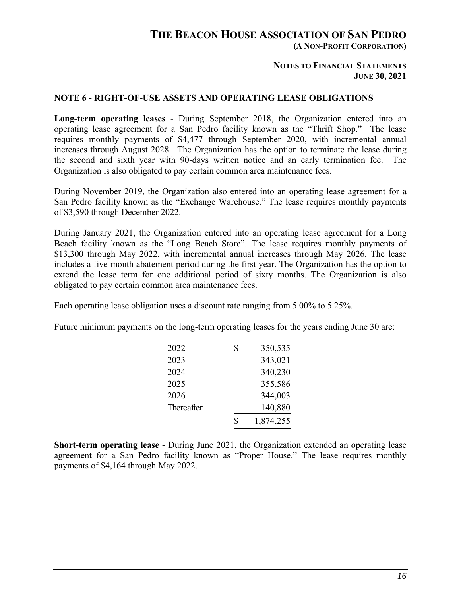#### **NOTES TO FINANCIAL STATEMENTS JUNE 30, 2021**

#### **NOTE 6 - RIGHT-OF-USE ASSETS AND OPERATING LEASE OBLIGATIONS**

**Long-term operating leases** - During September 2018, the Organization entered into an operating lease agreement for a San Pedro facility known as the "Thrift Shop." The lease requires monthly payments of \$4,477 through September 2020, with incremental annual increases through August 2028. The Organization has the option to terminate the lease during the second and sixth year with 90-days written notice and an early termination fee. The Organization is also obligated to pay certain common area maintenance fees.

During November 2019, the Organization also entered into an operating lease agreement for a San Pedro facility known as the "Exchange Warehouse." The lease requires monthly payments of \$3,590 through December 2022.

During January 2021, the Organization entered into an operating lease agreement for a Long Beach facility known as the "Long Beach Store". The lease requires monthly payments of \$13,300 through May 2022, with incremental annual increases through May 2026. The lease includes a five-month abatement period during the first year. The Organization has the option to extend the lease term for one additional period of sixty months. The Organization is also obligated to pay certain common area maintenance fees.

Each operating lease obligation uses a discount rate ranging from 5.00% to 5.25%.

Future minimum payments on the long-term operating leases for the years ending June 30 are:

|            | S  | 1,874,255 |
|------------|----|-----------|
| Thereafter |    | 140,880   |
| 2026       |    | 344,003   |
| 2025       |    | 355,586   |
| 2024       |    | 340,230   |
| 2023       |    | 343,021   |
| 2022       | \$ | 350,535   |

**Short-term operating lease** - During June 2021, the Organization extended an operating lease agreement for a San Pedro facility known as "Proper House." The lease requires monthly payments of \$4,164 through May 2022.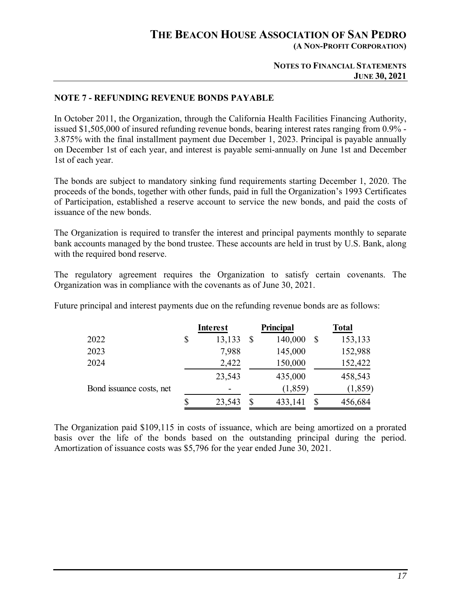#### **NOTES TO FINANCIAL STATEMENTS JUNE 30, 2021**

#### **NOTE 7 - REFUNDING REVENUE BONDS PAYABLE**

In October 2011, the Organization, through the California Health Facilities Financing Authority, issued \$1,505,000 of insured refunding revenue bonds, bearing interest rates ranging from 0.9% - 3.875% with the final installment payment due December 1, 2023. Principal is payable annually on December 1st of each year, and interest is payable semi-annually on June 1st and December 1st of each year.

The bonds are subject to mandatory sinking fund requirements starting December 1, 2020. The proceeds of the bonds, together with other funds, paid in full the Organization's 1993 Certificates of Participation, established a reserve account to service the new bonds, and paid the costs of issuance of the new bonds.

The Organization is required to transfer the interest and principal payments monthly to separate bank accounts managed by the bond trustee. These accounts are held in trust by U.S. Bank, along with the required bond reserve.

The regulatory agreement requires the Organization to satisfy certain covenants. The Organization was in compliance with the covenants as of June 30, 2021.

Future principal and interest payments due on the refunding revenue bonds are as follows:

|                          | <b>Interest</b> | Principal     | <b>Total</b>  |
|--------------------------|-----------------|---------------|---------------|
| 2022                     | \$<br>13,133    | \$<br>140,000 | \$<br>153,133 |
| 2023                     | 7,988           | 145,000       | 152,988       |
| 2024                     | 2,422           | 150,000       | 152,422       |
|                          | 23,543          | 435,000       | 458,543       |
| Bond issuance costs, net | -               | (1, 859)      | (1, 859)      |
|                          | \$<br>23,543    | \$<br>433,141 | \$<br>456,684 |

The Organization paid \$109,115 in costs of issuance, which are being amortized on a prorated basis over the life of the bonds based on the outstanding principal during the period. Amortization of issuance costs was \$5,796 for the year ended June 30, 2021.